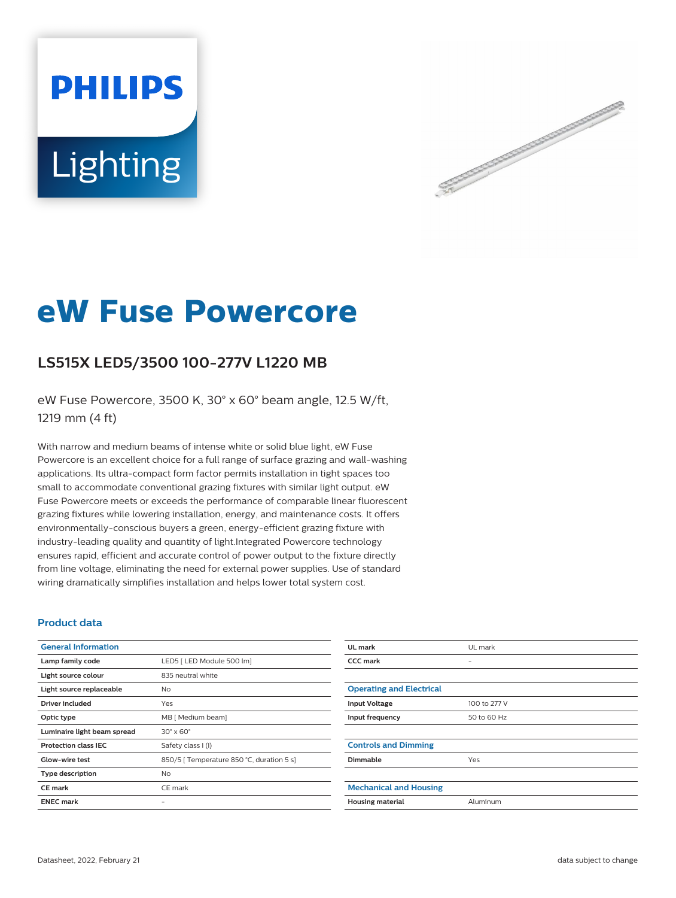# **PHILIPS** Lighting



## **eW Fuse Powercore**

### **LS515X LED5/3500 100-277V L1220 MB**

eW Fuse Powercore, 3500 K, 30° x 60° beam angle, 12.5 W/ft, 1219 mm (4 ft)

With narrow and medium beams of intense white or solid blue light, eW Fuse Powercore is an excellent choice for a full range of surface grazing and wall-washing applications. Its ultra-compact form factor permits installation in tight spaces too small to accommodate conventional grazing fixtures with similar light output. eW Fuse Powercore meets or exceeds the performance of comparable linear fluorescent grazing fixtures while lowering installation, energy, and maintenance costs. It offers environmentally-conscious buyers a green, energy-efficient grazing fixture with industry-leading quality and quantity of light.Integrated Powercore technology ensures rapid, efficient and accurate control of power output to the fixture directly from line voltage, eliminating the need for external power supplies. Use of standard wiring dramatically simplifies installation and helps lower total system cost.

#### **Product data**

| <b>General Information</b>  |                                           | UL mark                         | UL mark                  |
|-----------------------------|-------------------------------------------|---------------------------------|--------------------------|
| Lamp family code            | LED5   LED Module 500 lm]                 | <b>CCC mark</b>                 | $\overline{\phantom{a}}$ |
| Light source colour         | 835 neutral white                         |                                 |                          |
| Light source replaceable    | <b>No</b>                                 | <b>Operating and Electrical</b> |                          |
| Driver included             | Yes                                       | <b>Input Voltage</b>            | 100 to 277 V             |
| Optic type                  | MB [ Medium beam]                         | Input frequency                 | 50 to 60 Hz              |
| Luminaire light beam spread | $30^\circ \times 60^\circ$                |                                 |                          |
| <b>Protection class IEC</b> | Safety class I (I)                        | <b>Controls and Dimming</b>     |                          |
| Glow-wire test              | 850/5   Temperature 850 °C, duration 5 s] | Dimmable                        | Yes                      |
| <b>Type description</b>     | <b>No</b>                                 |                                 |                          |
| <b>CE</b> mark              | CE mark                                   | <b>Mechanical and Housing</b>   |                          |
| <b>ENEC mark</b>            | $\overline{\phantom{a}}$                  | <b>Housing material</b>         | Aluminum                 |
|                             |                                           |                                 |                          |